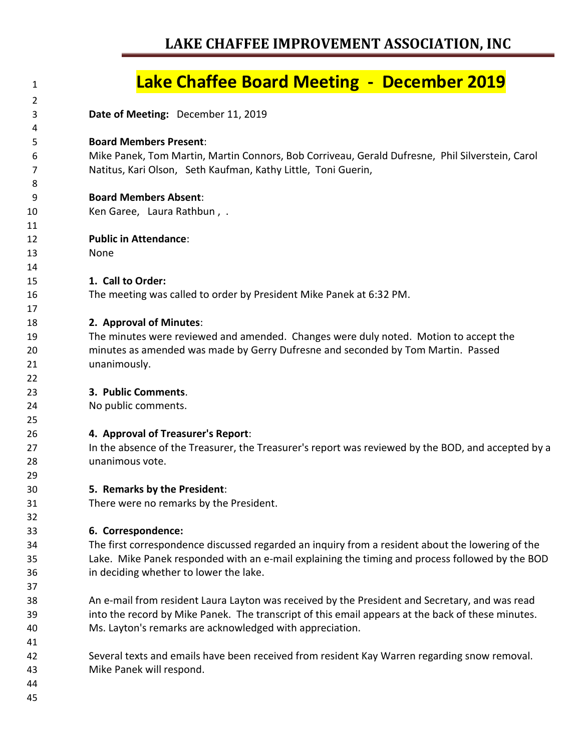| 1  | <b>Lake Chaffee Board Meeting - December 2019</b>                                                  |
|----|----------------------------------------------------------------------------------------------------|
| 2  |                                                                                                    |
| 3  | Date of Meeting: December 11, 2019                                                                 |
| 4  |                                                                                                    |
| 5  | <b>Board Members Present:</b>                                                                      |
| 6  | Mike Panek, Tom Martin, Martin Connors, Bob Corriveau, Gerald Dufresne, Phil Silverstein, Carol    |
| 7  | Natitus, Kari Olson, Seth Kaufman, Kathy Little, Toni Guerin,                                      |
| 8  |                                                                                                    |
| 9  | <b>Board Members Absent:</b>                                                                       |
| 10 | Ken Garee, Laura Rathbun, .                                                                        |
| 11 |                                                                                                    |
| 12 | <b>Public in Attendance:</b>                                                                       |
| 13 | None                                                                                               |
| 14 |                                                                                                    |
| 15 | 1. Call to Order:                                                                                  |
| 16 | The meeting was called to order by President Mike Panek at 6:32 PM.                                |
| 17 |                                                                                                    |
| 18 | 2. Approval of Minutes:                                                                            |
| 19 | The minutes were reviewed and amended. Changes were duly noted. Motion to accept the               |
| 20 | minutes as amended was made by Gerry Dufresne and seconded by Tom Martin. Passed                   |
| 21 | unanimously.                                                                                       |
| 22 |                                                                                                    |
| 23 | 3. Public Comments.                                                                                |
| 24 | No public comments.                                                                                |
| 25 |                                                                                                    |
| 26 | 4. Approval of Treasurer's Report:                                                                 |
| 27 | In the absence of the Treasurer, the Treasurer's report was reviewed by the BOD, and accepted by a |
| 28 | unanimous vote.                                                                                    |
| 29 |                                                                                                    |
| 30 | 5. Remarks by the President:                                                                       |
| 31 | There were no remarks by the President.                                                            |
| 32 |                                                                                                    |
| 33 | 6. Correspondence:                                                                                 |
| 34 | The first correspondence discussed regarded an inquiry from a resident about the lowering of the   |
| 35 | Lake. Mike Panek responded with an e-mail explaining the timing and process followed by the BOD    |
| 36 | in deciding whether to lower the lake.                                                             |
| 37 |                                                                                                    |
| 38 | An e-mail from resident Laura Layton was received by the President and Secretary, and was read     |
| 39 | into the record by Mike Panek. The transcript of this email appears at the back of these minutes.  |
| 40 | Ms. Layton's remarks are acknowledged with appreciation.                                           |
| 41 |                                                                                                    |
| 42 | Several texts and emails have been received from resident Kay Warren regarding snow removal.       |
| 43 | Mike Panek will respond.                                                                           |
| 44 |                                                                                                    |
| 45 |                                                                                                    |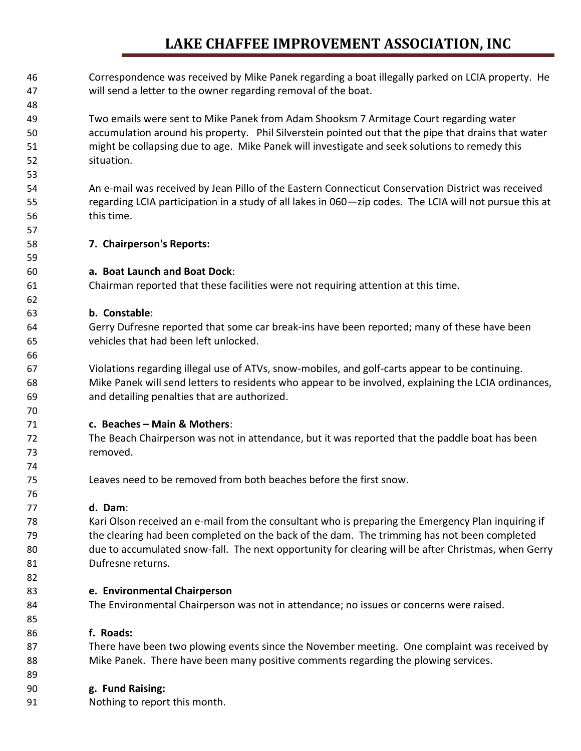Correspondence was received by Mike Panek regarding a boat illegally parked on LCIA property. He will send a letter to the owner regarding removal of the boat. Two emails were sent to Mike Panek from Adam Shooksm 7 Armitage Court regarding water accumulation around his property. Phil Silverstein pointed out that the pipe that drains that water might be collapsing due to age. Mike Panek will investigate and seek solutions to remedy this situation. An e-mail was received by Jean Pillo of the Eastern Connecticut Conservation District was received regarding LCIA participation in a study of all lakes in 060—zip codes. The LCIA will not pursue this at this time. **7. Chairperson's Reports: a. Boat Launch and Boat Dock**: Chairman reported that these facilities were not requiring attention at this time. **b. Constable**: Gerry Dufresne reported that some car break-ins have been reported; many of these have been vehicles that had been left unlocked. Violations regarding illegal use of ATVs, snow-mobiles, and golf-carts appear to be continuing. Mike Panek will send letters to residents who appear to be involved, explaining the LCIA ordinances, and detailing penalties that are authorized. **c. Beaches – Main & Mothers**: The Beach Chairperson was not in attendance, but it was reported that the paddle boat has been removed. Leaves need to be removed from both beaches before the first snow. **d. Dam**: Kari Olson received an e-mail from the consultant who is preparing the Emergency Plan inquiring if the clearing had been completed on the back of the dam. The trimming has not been completed due to accumulated snow-fall. The next opportunity for clearing will be after Christmas, when Gerry Dufresne returns. **e. Environmental Chairperson** The Environmental Chairperson was not in attendance; no issues or concerns were raised. **f. Roads:**  There have been two plowing events since the November meeting. One complaint was received by Mike Panek. There have been many positive comments regarding the plowing services. **g. Fund Raising:** Nothing to report this month.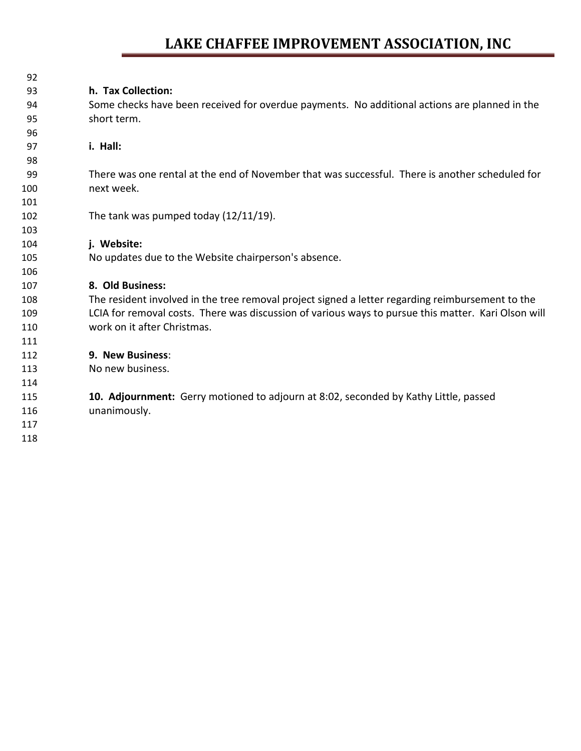| h. Tax Collection:                                                                                  |
|-----------------------------------------------------------------------------------------------------|
| Some checks have been received for overdue payments. No additional actions are planned in the       |
| short term.                                                                                         |
|                                                                                                     |
| i. Hall:                                                                                            |
|                                                                                                     |
| There was one rental at the end of November that was successful. There is another scheduled for     |
| next week.                                                                                          |
|                                                                                                     |
| The tank was pumped today $(12/11/19)$ .                                                            |
|                                                                                                     |
| i. Website:                                                                                         |
| No updates due to the Website chairperson's absence.                                                |
|                                                                                                     |
| 8. Old Business:                                                                                    |
| The resident involved in the tree removal project signed a letter regarding reimbursement to the    |
| LCIA for removal costs. There was discussion of various ways to pursue this matter. Kari Olson will |
| work on it after Christmas.                                                                         |
|                                                                                                     |
| 9. New Business:                                                                                    |
| No new business.                                                                                    |
|                                                                                                     |
| 10. Adjournment: Gerry motioned to adjourn at 8:02, seconded by Kathy Little, passed                |
| unanimously.                                                                                        |
|                                                                                                     |
|                                                                                                     |
|                                                                                                     |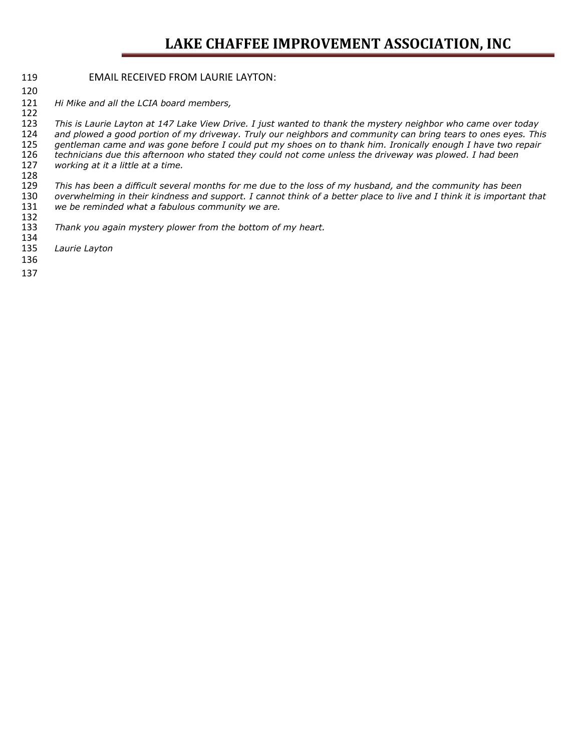#### EMAIL RECEIVED FROM LAURIE LAYTON:

*Hi Mike and all the LCIA board members,*

 *This is Laurie Layton at 147 Lake View Drive. I just wanted to thank the mystery neighbor who came over today and plowed a good portion of my driveway. Truly our neighbors and community can bring tears to ones eyes. This gentleman came and was gone before I could put my shoes on to thank him. Ironically enough I have two repair*  technicians due this afternoon who stated they could not come unless the driveway was plowed. I had been *working at it a little at a time.*

128<br>129 *This has been a difficult several months for me due to the loss of my husband, and the community has been overwhelming in their kindness and support. I cannot think of a better place to live and I think it is important that*  we be reminded what a fabulous community we are.

- 132<br>133 *Thank you again mystery plower from the bottom of my heart.*
- 134<br>135 *Laurie Layton*